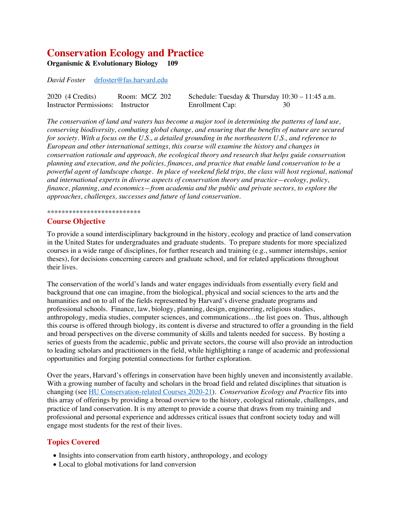# **Conservation Ecology and Practice**

**Organismic & Evolutionary Biology 109** 

*David Foster* drfoster@fas.harvard.edu

| 2020 (4 Credits)                   | Room: MCZ 202 | Schedule: Tuesday & Thursday $10:30 - 11:45$ a.m. |  |
|------------------------------------|---------------|---------------------------------------------------|--|
| Instructor Permissions: Instructor |               | Enrollment Cap:                                   |  |

*The conservation of land and waters has become a major tool in determining the patterns of land use, conserving biodiversity, combating global change, and ensuring that the benefits of nature are secured for society. With a focus on the U.S., a detailed grounding in the northeastern U.S., and reference to European and other international settings, this course will examine the history and changes in conservation rationale and approach, the ecological theory and research that helps guide conservation planning and execution, and the policies, finances, and practice that enable land conservation to be a powerful agent of landscape change. In place of weekend field trips, the class will host regional, national and international experts in diverse aspects of conservation theory and practice—ecology, policy, finance, planning, and economics—from academia and the public and private sectors, to explore the approaches, challenges, successes and future of land conservation.*

#### \*\*\*\*\*\*\*\*\*\*\*\*\*\*\*\*\*\*\*\*\*\*\*\*\*\*

#### **Course Objective**

To provide a sound interdisciplinary background in the history, ecology and practice of land conservation in the United States for undergraduates and graduate students. To prepare students for more specialized courses in a wide range of disciplines, for further research and training (e.g., summer internships, senior theses), for decisions concerning careers and graduate school, and for related applications throughout their lives.

The conservation of the world's lands and water engages individuals from essentially every field and background that one can imagine, from the biological, physical and social sciences to the arts and the humanities and on to all of the fields represented by Harvard's diverse graduate programs and professional schools. Finance, law, biology, planning, design, engineering, religious studies, anthropology, media studies, computer sciences, and communications…the list goes on. Thus, although this course is offered through biology, its content is diverse and structured to offer a grounding in the field and broad perspectives on the diverse community of skills and talents needed for success. By hosting a series of guests from the academic, public and private sectors, the course will also provide an introduction to leading scholars and practitioners in the field, while highlighting a range of academic and professional opportunities and forging potential connections for further exploration.

Over the years, Harvard's offerings in conservation have been highly uneven and inconsistently available. With a growing number of faculty and scholars in the broad field and related disciplines that situation is changing (see HU Conservation-related Courses 2020-21). *Conservation Ecology and Practice* fits into this array of offerings by providing a broad overview to the history, ecological rationale, challenges, and practice of land conservation. It is my attempt to provide a course that draws from my training and professional and personal experience and addresses critical issues that confront society today and will engage most students for the rest of their lives.

#### **Topics Covered**

- Insights into conservation from earth history, anthropology, and ecology
- Local to global motivations for land conversion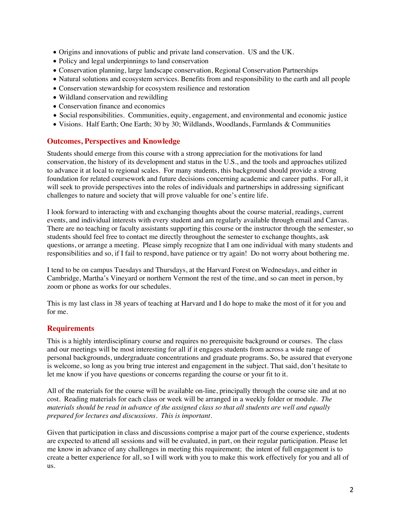- Origins and innovations of public and private land conservation. US and the UK.
- Policy and legal underpinnings to land conservation
- Conservation planning, large landscape conservation, Regional Conservation Partnerships
- Natural solutions and ecosystem services. Benefits from and responsibility to the earth and all people
- Conservation stewardship for ecosystem resilience and restoration
- Wildland conservation and rewildling
- Conservation finance and economics
- Social responsibilities. Communities, equity, engagement, and environmental and economic justice
- Visions. Half Earth; One Earth; 30 by 30; Wildlands, Woodlands, Farmlands & Communities

### **Outcomes, Perspectives and Knowledge**

Students should emerge from this course with a strong appreciation for the motivations for land conservation, the history of its development and status in the U.S., and the tools and approaches utilized to advance it at local to regional scales. For many students, this background should provide a strong foundation for related coursework and future decisions concerning academic and career paths. For all, it will seek to provide perspectives into the roles of individuals and partnerships in addressing significant challenges to nature and society that will prove valuable for one's entire life.

I look forward to interacting with and exchanging thoughts about the course material, readings, current events, and individual interests with every student and am regularly available through email and Canvas. There are no teaching or faculty assistants supporting this course or the instructor through the semester, so students should feel free to contact me directly throughout the semester to exchange thoughts, ask questions, or arrange a meeting. Please simply recognize that I am one individual with many students and responsibilities and so, if I fail to respond, have patience or try again! Do not worry about bothering me.

I tend to be on campus Tuesdays and Thursdays, at the Harvard Forest on Wednesdays, and either in Cambridge, Martha's Vineyard or northern Vermont the rest of the time, and so can meet in person, by zoom or phone as works for our schedules.

This is my last class in 38 years of teaching at Harvard and I do hope to make the most of it for you and for me.

# **Requirements**

This is a highly interdisciplinary course and requires no prerequisite background or courses. The class and our meetings will be most interesting for all if it engages students from across a wide range of personal backgrounds, undergraduate concentrations and graduate programs. So, be assured that everyone is welcome, so long as you bring true interest and engagement in the subject. That said, don't hesitate to let me know if you have questions or concerns regarding the course or your fit to it.

All of the materials for the course will be available on-line, principally through the course site and at no cost. Reading materials for each class or week will be arranged in a weekly folder or module. *The materials should be read in advance of the assigned class so that all students are well and equally prepared for lectures and discussions. This is important.*

Given that participation in class and discussions comprise a major part of the course experience, students are expected to attend all sessions and will be evaluated, in part, on their regular participation. Please let me know in advance of any challenges in meeting this requirement; the intent of full engagement is to create a better experience for all, so I will work with you to make this work effectively for you and all of us.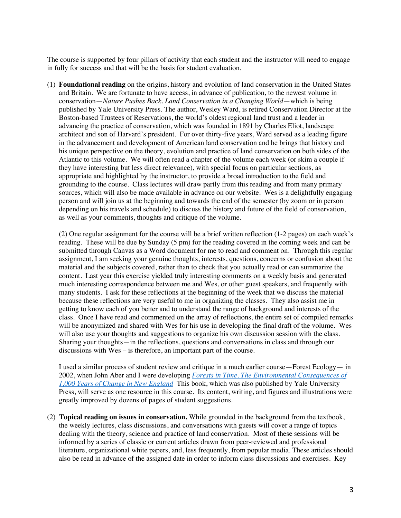The course is supported by four pillars of activity that each student and the instructor will need to engage in fully for success and that will be the basis for student evaluation.

(1) **Foundational reading** on the origins, history and evolution of land conservation in the United States and Britain. We are fortunate to have access, in advance of publication, to the newest volume in conservation—*Nature Pushes Back*. *Land Conservation in a Changing World*—which is being published by Yale University Press. The author, Wesley Ward, is retired Conservation Director at the Boston-based Trustees of Reservations, the world's oldest regional land trust and a leader in advancing the practice of conservation, which was founded in 1891 by Charles Eliot, landscape architect and son of Harvard's president. For over thirty-five years, Ward served as a leading figure in the advancement and development of American land conservation and he brings that history and his unique perspective on the theory, evolution and practice of land conservation on both sides of the Atlantic to this volume. We will often read a chapter of the volume each week (or skim a couple if they have interesting but less direct relevance), with special focus on particular sections, as appropriate and highlighted by the instructor, to provide a broad introduction to the field and grounding to the course. Class lectures will draw partly from this reading and from many primary sources, which will also be made available in advance on our website. Wes is a delightfully engaging person and will join us at the beginning and towards the end of the semester (by zoom or in person depending on his travels and schedule) to discuss the history and future of the field of conservation, as well as your comments, thoughts and critique of the volume.

(2) One regular assignment for the course will be a brief written reflection (1-2 pages) on each week's reading. These will be due by Sunday (5 pm) for the reading covered in the coming week and can be submitted through Canvas as a Word document for me to read and comment on. Through this regular assignment, I am seeking your genuine thoughts, interests, questions, concerns or confusion about the material and the subjects covered, rather than to check that you actually read or can summarize the content. Last year this exercise yielded truly interesting comments on a weekly basis and generated much interesting correspondence between me and Wes, or other guest speakers, and frequently with many students. I ask for these reflections at the beginning of the week that we discuss the material because these reflections are very useful to me in organizing the classes. They also assist me in getting to know each of you better and to understand the range of background and interests of the class. Once I have read and commented on the array of reflections, the entire set of compiled remarks will be anonymized and shared with Wes for his use in developing the final draft of the volume. Wes will also use your thoughts and suggestions to organize his own discussion session with the class. Sharing your thoughts—in the reflections, questions and conversations in class and through our discussions with Wes – is therefore, an important part of the course.

I used a similar process of student review and critique in a much earlier course—Forest Ecology— in 2002, when John Aber and I were developing *Forests in Time. The Environmental Consequences of 1,000 Years of Change in New England* This book, which was also published by Yale University Press, will serve as one resource in this course. Its content, writing, and figures and illustrations were greatly improved by dozens of pages of student suggestions.

(2) **Topical reading on issues in conservation.** While grounded in the background from the textbook, the weekly lectures, class discussions, and conversations with guests will cover a range of topics dealing with the theory, science and practice of land conservation. Most of these sessions will be informed by a series of classic or current articles drawn from peer-reviewed and professional literature, organizational white papers, and, less frequently, from popular media. These articles should also be read in advance of the assigned date in order to inform class discussions and exercises. Key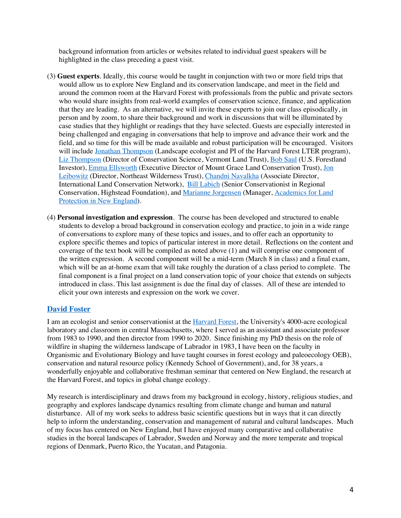background information from articles or websites related to individual guest speakers will be highlighted in the class preceding a guest visit.

- (3) **Guest experts**. Ideally, this course would be taught in conjunction with two or more field trips that would allow us to explore New England and its conservation landscape, and meet in the field and around the common room at the Harvard Forest with professionals from the public and private sectors who would share insights from real-world examples of conservation science, finance, and application that they are leading. As an alternative, we will invite these experts to join our class episodically, in person and by zoom, to share their background and work in discussions that will be illuminated by case studies that they highlight or readings that they have selected. Guests are especially interested in being challenged and engaging in conversations that help to improve and advance their work and the field, and so time for this will be made available and robust participation will be encouraged. Visitors will include Jonathan Thompson (Landscape ecologist and PI of the Harvard Forest LTER program), Liz Thompson (Director of Conservation Science, Vermont Land Trust), Bob Saul (U.S. Forestland Investor), Emma Ellsworth (Executive Director of Mount Grace Land Conservation Trust), Jon Leibowitz (Director, Northeast Wilderness Trust), Chandni Navalkha (Associate Director, International Land Conservation Network), Bill Labich (Senior Conservationist in Regional Conservation, Highstead Foundation), and Marianne Jorgensen (Manager, Academics for Land Protection in New England).
- (4) **Personal investigation and expression**. The course has been developed and structured to enable students to develop a broad background in conservation ecology and practice, to join in a wide range of conversations to explore many of these topics and issues, and to offer each an opportunity to explore specific themes and topics of particular interest in more detail. Reflections on the content and coverage of the text book will be compiled as noted above (1) and will comprise one component of the written expression. A second component will be a mid-term (March 8 in class) and a final exam, which will be an at-home exam that will take roughly the duration of a class period to complete. The final component is a final project on a land conservation topic of your choice that extends on subjects introduced in class. This last assignment is due the final day of classes. All of these are intended to elicit your own interests and expression on the work we cover.

# **David Foster**

I am an ecologist and senior conservationist at the Harvard Forest, the University's 4000-acre ecological laboratory and classroom in central Massachusetts, where I served as an assistant and associate professor from 1983 to 1990, and then director from 1990 to 2020. Since finishing my PhD thesis on the role of wildfire in shaping the wilderness landscape of Labrador in 1983, I have been on the faculty in Organismic and Evolutionary Biology and have taught courses in forest ecology and paleoecology OEB), conservation and natural resource policy (Kennedy School of Government), and, for 38 years, a wonderfully enjoyable and collaborative freshman seminar that centered on New England, the research at the Harvard Forest, and topics in global change ecology.

My research is interdisciplinary and draws from my background in ecology, history, religious studies, and geography and explores landscape dynamics resulting from climate change and human and natural disturbance. All of my work seeks to address basic scientific questions but in ways that it can directly help to inform the understanding, conservation and management of natural and cultural landscapes. Much of my focus has centered on New England, but I have enjoyed many comparative and collaborative studies in the boreal landscapes of Labrador, Sweden and Norway and the more temperate and tropical regions of Denmark, Puerto Rico, the Yucatan, and Patagonia.